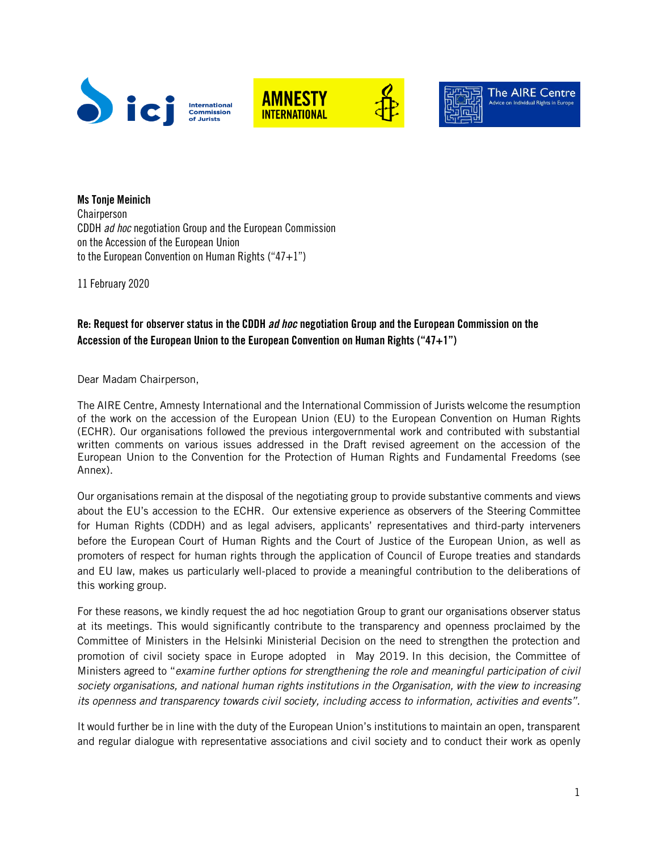





**The AIRE Centre** 

Ms Tonje Meinich Chairperson CDDH *ad hoc* negotiation Group and the European Commission on the Accession of the European Union to the European Convention on Human Rights (" $47+1$ ")

11 February 2020

## Re: Request for observer status in the CDDH *ad hoc* negotiation Group and the European Commission on the Accession of the European Union to the European Convention on Human Rights ("47+1")

Dear Madam Chairperson,

The AIRE Centre, Amnesty International and the International Commission of Jurists welcome the resumption of the work on the accession of the European Union (EU) to the European Convention on Human Rights (ECHR). Our organisations followed the previous intergovernmental work and contributed with substantial written comments on various issues addressed in the Draft revised agreement on the accession of the European Union to the Convention for the Protection of Human Rights and Fundamental Freedoms (see Annex).

Our organisations remain at the disposal of the negotiating group to provide substantive comments and views about the EU's accession to the ECHR. Our extensive experience as observers of the Steering Committee for Human Rights (CDDH) and as legal advisers, applicants' representatives and third-party interveners before the European Court of Human Rights and the Court of Justice of the European Union, as well as promoters of respect for human rights through the application of Council of Europe treaties and standards and EU law, makes us particularly well-placed to provide a meaningful contribution to the deliberations of this working group.

For these reasons, we kindly request the ad hoc negotiation Group to grant our organisations observer status at its meetings. This would significantly contribute to the transparency and openness proclaimed by the Committee of Ministers in the Helsinki Ministerial Decision on the need to strengthen the protection and promotion of civil society space in Europe adopted in May 2019. In this decision, the Committee of Ministers agreed to "*examine further options for strengthening the role and meaningful participation of civil society organisations, and national human rights institutions in the Organisation, with the view to increasing its openness and transparency towards civil society, including access to information, activities and events".* 

It would further be in line with the duty of the European Union's institutions to maintain an open, transparent and regular dialogue with representative associations and civil society and to conduct their work as openly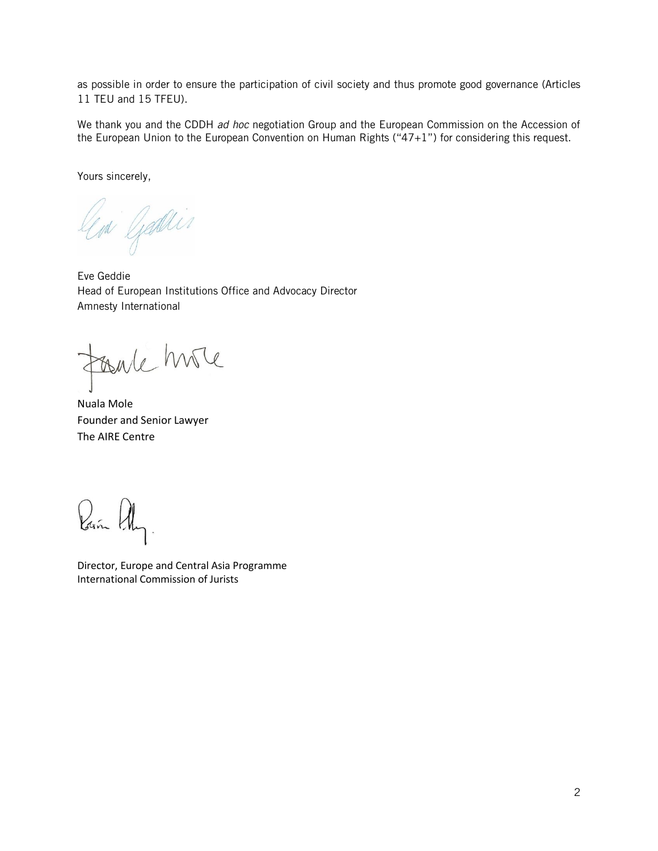as possible in order to ensure the participation of civil society and thus promote good governance (Articles 11 TEU and 15 TFEU).

We thank you and the CDDH *ad hoc* negotiation Group and the European Commission on the Accession of the European Union to the European Convention on Human Rights ("47+1") for considering this request.

Yours sincerely,

leni Geodlin

Eve Geddie Head of European Institutions Office and Advocacy Director Amnesty International

Foule hove

Nuala Mole Founder and Senior Lawyer The AIRE Centre

Pañ AL

Director, Europe and Central Asia Programme International Commission of Jurists